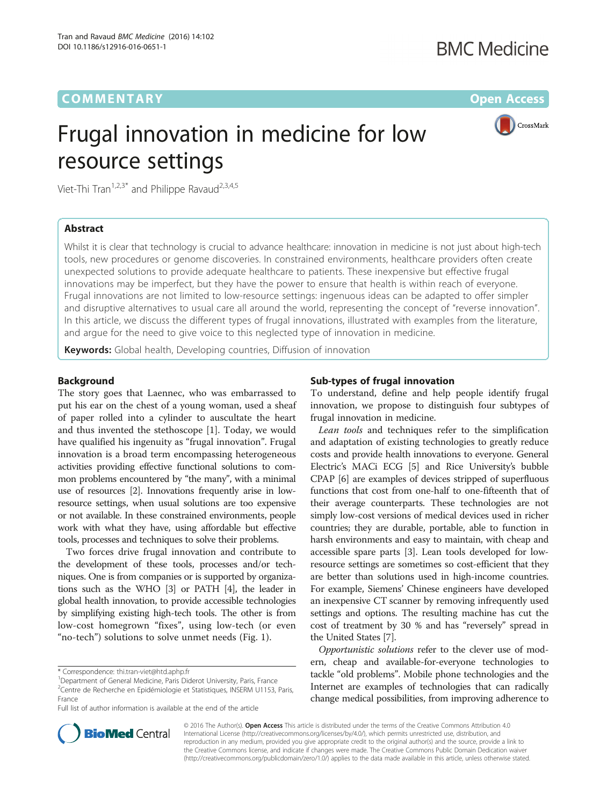# **COMMENTARY** COMMENTARY **COMMENTARY**

# Frugal innovation in medicine for low resource settings



Viet-Thi Tran<sup>1,2,3\*</sup> and Philippe Ravaud<sup>2,3,4,5</sup>

## Abstract

Whilst it is clear that technology is crucial to advance healthcare: innovation in medicine is not just about high-tech tools, new procedures or genome discoveries. In constrained environments, healthcare providers often create unexpected solutions to provide adequate healthcare to patients. These inexpensive but effective frugal innovations may be imperfect, but they have the power to ensure that health is within reach of everyone. Frugal innovations are not limited to low-resource settings: ingenuous ideas can be adapted to offer simpler and disruptive alternatives to usual care all around the world, representing the concept of "reverse innovation". In this article, we discuss the different types of frugal innovations, illustrated with examples from the literature, and argue for the need to give voice to this neglected type of innovation in medicine.

Keywords: Global health, Developing countries, Diffusion of innovation

## Background

The story goes that Laennec, who was embarrassed to put his ear on the chest of a young woman, used a sheaf of paper rolled into a cylinder to auscultate the heart and thus invented the stethoscope [[1\]](#page-2-0). Today, we would have qualified his ingenuity as "frugal innovation". Frugal innovation is a broad term encompassing heterogeneous activities providing effective functional solutions to common problems encountered by "the many", with a minimal use of resources [\[2\]](#page-2-0). Innovations frequently arise in lowresource settings, when usual solutions are too expensive or not available. In these constrained environments, people work with what they have, using affordable but effective tools, processes and techniques to solve their problems.

Two forces drive frugal innovation and contribute to the development of these tools, processes and/or techniques. One is from companies or is supported by organizations such as the WHO [\[3\]](#page-2-0) or PATH [\[4\]](#page-2-0), the leader in global health innovation, to provide accessible technologies by simplifying existing high-tech tools. The other is from low-cost homegrown "fixes", using low-tech (or even "no-tech") solutions to solve unmet needs (Fig. [1](#page-1-0)).

Full list of author information is available at the end of the article

## Sub-types of frugal innovation

To understand, define and help people identify frugal innovation, we propose to distinguish four subtypes of frugal innovation in medicine.

Lean tools and techniques refer to the simplification and adaptation of existing technologies to greatly reduce costs and provide health innovations to everyone. General Electric's MACi ECG [[5\]](#page-2-0) and Rice University's bubble CPAP [[6\]](#page-2-0) are examples of devices stripped of superfluous functions that cost from one-half to one-fifteenth that of their average counterparts. These technologies are not simply low-cost versions of medical devices used in richer countries; they are durable, portable, able to function in harsh environments and easy to maintain, with cheap and accessible spare parts [[3\]](#page-2-0). Lean tools developed for lowresource settings are sometimes so cost-efficient that they are better than solutions used in high-income countries. For example, Siemens' Chinese engineers have developed an inexpensive CT scanner by removing infrequently used settings and options. The resulting machine has cut the cost of treatment by 30 % and has "reversely" spread in the United States [\[7\]](#page-2-0).

Opportunistic solutions refer to the clever use of modern, cheap and available-for-everyone technologies to tackle "old problems". Mobile phone technologies and the Internet are examples of technologies that can radically change medical possibilities, from improving adherence to



© 2016 The Author(s). Open Access This article is distributed under the terms of the Creative Commons Attribution 4.0 International License [\(http://creativecommons.org/licenses/by/4.0/](http://creativecommons.org/licenses/by/4.0/)), which permits unrestricted use, distribution, and reproduction in any medium, provided you give appropriate credit to the original author(s) and the source, provide a link to the Creative Commons license, and indicate if changes were made. The Creative Commons Public Domain Dedication waiver [\(http://creativecommons.org/publicdomain/zero/1.0/](http://creativecommons.org/publicdomain/zero/1.0/)) applies to the data made available in this article, unless otherwise stated.

<sup>\*</sup> Correspondence: [thi.tran-viet@htd.aphp.fr](mailto:thi.tran-viet@htd.aphp.fr) <sup>1</sup>

<sup>&</sup>lt;sup>1</sup>Department of General Medicine, Paris Diderot University, Paris, France <sup>2</sup>Centre de Recherche en Epidémiologie et Statistiques, INSERM U1153, Paris, France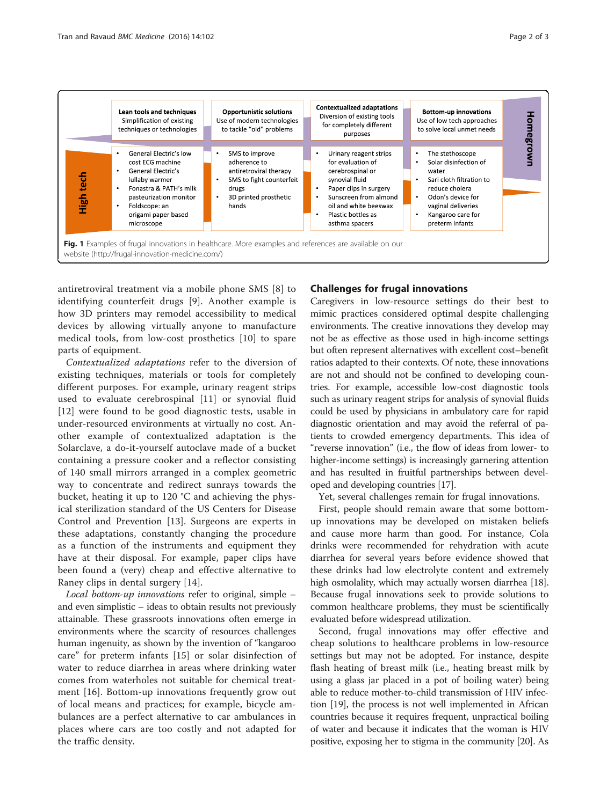

<span id="page-1-0"></span>

antiretroviral treatment via a mobile phone SMS [\[8](#page-2-0)] to identifying counterfeit drugs [[9\]](#page-2-0). Another example is how 3D printers may remodel accessibility to medical devices by allowing virtually anyone to manufacture medical tools, from low-cost prosthetics [\[10](#page-2-0)] to spare parts of equipment.

Contextualized adaptations refer to the diversion of existing techniques, materials or tools for completely different purposes. For example, urinary reagent strips used to evaluate cerebrospinal [[11](#page-2-0)] or synovial fluid [[12\]](#page-2-0) were found to be good diagnostic tests, usable in under-resourced environments at virtually no cost. Another example of contextualized adaptation is the Solarclave, a do-it-yourself autoclave made of a bucket containing a pressure cooker and a reflector consisting of 140 small mirrors arranged in a complex geometric way to concentrate and redirect sunrays towards the bucket, heating it up to 120 °C and achieving the physical sterilization standard of the US Centers for Disease Control and Prevention [[13](#page-2-0)]. Surgeons are experts in these adaptations, constantly changing the procedure as a function of the instruments and equipment they have at their disposal. For example, paper clips have been found a (very) cheap and effective alternative to Raney clips in dental surgery [[14\]](#page-2-0).

Local bottom-up innovations refer to original, simple – and even simplistic – ideas to obtain results not previously attainable. These grassroots innovations often emerge in environments where the scarcity of resources challenges human ingenuity, as shown by the invention of "kangaroo care" for preterm infants [[15](#page-2-0)] or solar disinfection of water to reduce diarrhea in areas where drinking water comes from waterholes not suitable for chemical treatment [\[16](#page-2-0)]. Bottom-up innovations frequently grow out of local means and practices; for example, bicycle ambulances are a perfect alternative to car ambulances in places where cars are too costly and not adapted for the traffic density.

# Challenges for frugal innovations

Caregivers in low-resource settings do their best to mimic practices considered optimal despite challenging environments. The creative innovations they develop may not be as effective as those used in high-income settings but often represent alternatives with excellent cost–benefit ratios adapted to their contexts. Of note, these innovations are not and should not be confined to developing countries. For example, accessible low-cost diagnostic tools such as urinary reagent strips for analysis of synovial fluids could be used by physicians in ambulatory care for rapid diagnostic orientation and may avoid the referral of patients to crowded emergency departments. This idea of "reverse innovation" (i.e., the flow of ideas from lower- to higher-income settings) is increasingly garnering attention and has resulted in fruitful partnerships between developed and developing countries [[17](#page-2-0)].

Yet, several challenges remain for frugal innovations.

First, people should remain aware that some bottomup innovations may be developed on mistaken beliefs and cause more harm than good. For instance, Cola drinks were recommended for rehydration with acute diarrhea for several years before evidence showed that these drinks had low electrolyte content and extremely high osmolality, which may actually worsen diarrhea [[18](#page-2-0)]. Because frugal innovations seek to provide solutions to common healthcare problems, they must be scientifically evaluated before widespread utilization.

Second, frugal innovations may offer effective and cheap solutions to healthcare problems in low-resource settings but may not be adopted. For instance, despite flash heating of breast milk (i.e., heating breast milk by using a glass jar placed in a pot of boiling water) being able to reduce mother-to-child transmission of HIV infection [\[19\]](#page-2-0), the process is not well implemented in African countries because it requires frequent, unpractical boiling of water and because it indicates that the woman is HIV positive, exposing her to stigma in the community [\[20](#page-2-0)]. As